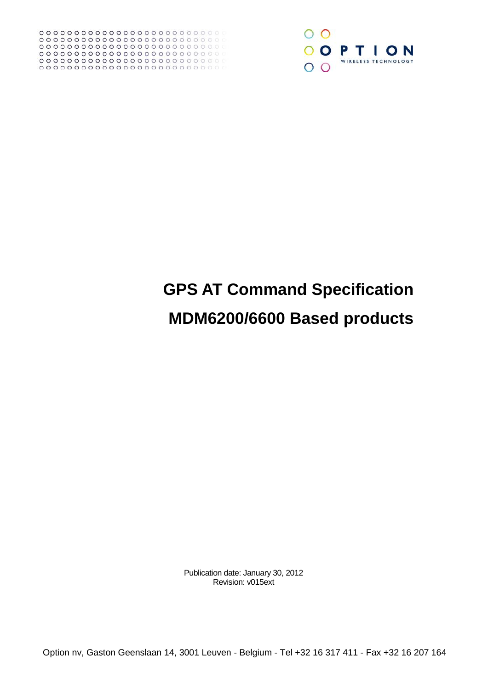

# **GPS AT Command Specification MDM6200/6600 Based products**

Publication date: January 30, 2012 Revision: v015ext

Option nv, Gaston Geenslaan 14, 3001 Leuven - Belgium - Tel +32 16 317 411 - Fax +32 16 207 164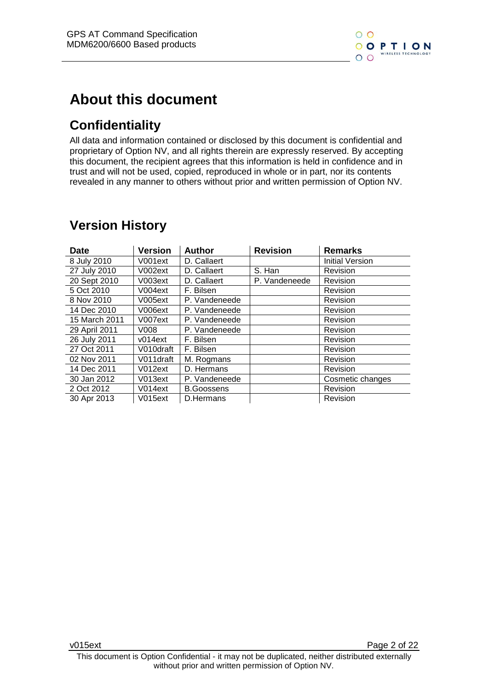

# **About this document**

# **Confidentiality**

All data and information contained or disclosed by this document is confidential and proprietary of Option NV, and all rights therein are expressly reserved. By accepting this document, the recipient agrees that this information is held in confidence and in trust and will not be used, copied, reproduced in whole or in part, nor its contents revealed in any manner to others without prior and written permission of Option NV.

| <b>Date</b>   | Version   | <b>Author</b>     | <b>Revision</b> | <b>Remarks</b>         |
|---------------|-----------|-------------------|-----------------|------------------------|
| 8 July 2010   | V001ext   | D. Callaert       |                 | <b>Initial Version</b> |
| 27 July 2010  | V002ext   | D. Callaert       | S. Han          | Revision               |
| 20 Sept 2010  | V003ext   | D. Callaert       | P. Vandeneede   | Revision               |
| 5 Oct 2010    | V004ext   | F. Bilsen         |                 | Revision               |
| 8 Nov 2010    | V005ext   | P. Vandeneede     |                 | Revision               |
| 14 Dec 2010   | V006ext   | P. Vandeneede     |                 | Revision               |
| 15 March 2011 | V007ext   | P. Vandeneede     |                 | Revision               |
| 29 April 2011 | V008      | P. Vandeneede     |                 | Revision               |
| 26 July 2011  | v014ext   | F. Bilsen         |                 | Revision               |
| 27 Oct 2011   | V010draft | F. Bilsen         |                 | Revision               |
| 02 Nov 2011   | V011draft | M. Rogmans        |                 | Revision               |
| 14 Dec 2011   | V012ext   | D. Hermans        |                 | Revision               |
| 30 Jan 2012   | V013ext   | P. Vandeneede     |                 | Cosmetic changes       |
| 2 Oct 2012    | V014ext   | <b>B.Goossens</b> |                 | Revision               |
| 30 Apr 2013   | V015ext   | D.Hermans         |                 | Revision               |

# **Version History**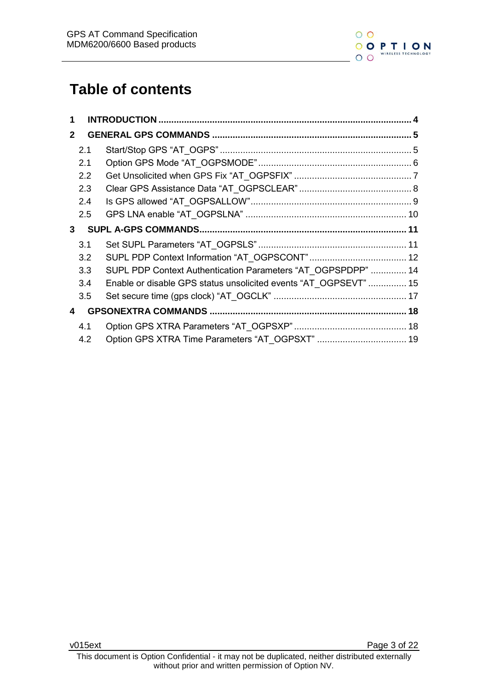

# **Table of contents**

| 2.1 |                                                                                        |                                                                                                                                  |
|-----|----------------------------------------------------------------------------------------|----------------------------------------------------------------------------------------------------------------------------------|
| 2.1 |                                                                                        |                                                                                                                                  |
|     |                                                                                        |                                                                                                                                  |
|     |                                                                                        |                                                                                                                                  |
|     |                                                                                        |                                                                                                                                  |
|     |                                                                                        |                                                                                                                                  |
|     |                                                                                        |                                                                                                                                  |
|     |                                                                                        |                                                                                                                                  |
|     |                                                                                        |                                                                                                                                  |
|     |                                                                                        |                                                                                                                                  |
|     |                                                                                        |                                                                                                                                  |
|     |                                                                                        |                                                                                                                                  |
|     |                                                                                        |                                                                                                                                  |
|     |                                                                                        |                                                                                                                                  |
|     |                                                                                        |                                                                                                                                  |
|     | 2.2<br>2.3<br>2.4<br>2.5<br>3.1<br>3.2<br>3.3 <sub>2</sub><br>3.4<br>3.5<br>4.1<br>4.2 | SUPL PDP Context Authentication Parameters "AT_OGPSPDPP"  14<br>Enable or disable GPS status unsolicited events "AT_OGPSEVT"  15 |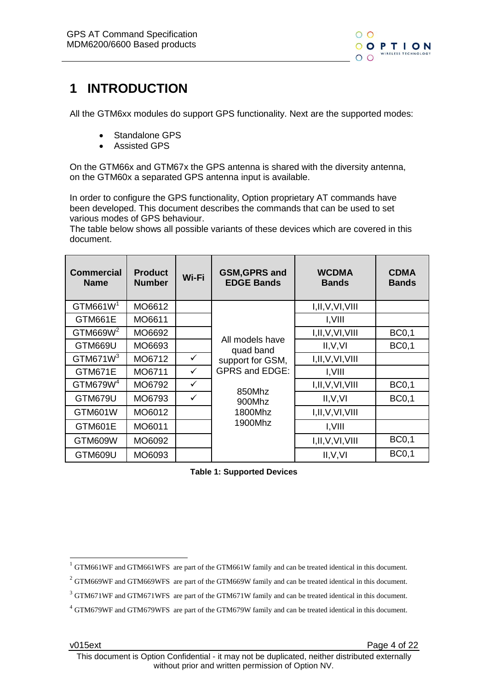

# <span id="page-3-0"></span>**1 INTRODUCTION**

All the GTM6xx modules do support GPS functionality. Next are the supported modes:

- Standalone GPS
- Assisted GPS

On the GTM66x and GTM67x the GPS antenna is shared with the diversity antenna, on the GTM60x a separated GPS antenna input is available.

In order to configure the GPS functionality, Option proprietary AT commands have been developed. This document describes the commands that can be used to set various modes of GPS behaviour.

The table below shows all possible variants of these devices which are covered in this document.

| <b>Commercial</b><br><b>Name</b> | <b>Product</b><br><b>Number</b>                 | Wi-Fi        | <b>GSM, GPRS and</b><br><b>EDGE Bands</b> | <b>WCDMA</b><br><b>Bands</b> | <b>CDMA</b><br><b>Bands</b> |
|----------------------------------|-------------------------------------------------|--------------|-------------------------------------------|------------------------------|-----------------------------|
| GTM661W <sup>1</sup>             | MO6612                                          |              |                                           | I, II, V, VI, VIII           |                             |
| GTM661E                          | MO6611                                          |              |                                           | I, VIII                      |                             |
| GTM669W <sup>2</sup>             | MO6692                                          |              |                                           | I, II, V, VI, VIII           | <b>BC0,1</b>                |
| GTM669U                          | MO6693<br>GTM671 $W3$<br>MO6712<br>$\checkmark$ |              | All models have<br>quad band              | II, V, VI                    | <b>BC0,1</b>                |
|                                  |                                                 |              | support for GSM,                          | I, II, V, VI, VIII           |                             |
| GTM671E                          | MO6711                                          | $\checkmark$ | <b>GPRS and EDGE:</b>                     | I, VIII                      |                             |
| GTM679W <sup>4</sup>             | MO6792                                          | ✓            |                                           | I, II, V, VI, VIII           | <b>BC0,1</b>                |
| GTM679U                          | MO6793                                          | ✓            | 850Mhz<br>900Mhz                          | II, V, VI                    | <b>BC0,1</b>                |
| GTM601W                          | MO6012                                          |              | 1800Mhz                                   | I, II, V, VI, VIII           |                             |
| GTM601E                          | MO6011                                          |              | 1900Mhz                                   | I,VIII                       |                             |
| GTM609W                          | MO6092                                          |              |                                           | I, II, V, VI, VIII           | <b>BC0,1</b>                |
| GTM609U                          | MO6093                                          |              |                                           | II, V, VI                    | <b>BC0,1</b>                |

**Table 1: Supported Devices**

-

 $1$  GTM661WF and GTM661WFS are part of the GTM661W family and can be treated identical in this document.

<sup>&</sup>lt;sup>2</sup> GTM669WF and GTM669WFS are part of the GTM669W family and can be treated identical in this document.

<sup>&</sup>lt;sup>3</sup> GTM671WF and GTM671WFS are part of the GTM671W family and can be treated identical in this document.

<sup>4</sup> GTM679WF and GTM679WFS are part of the GTM679W family and can be treated identical in this document.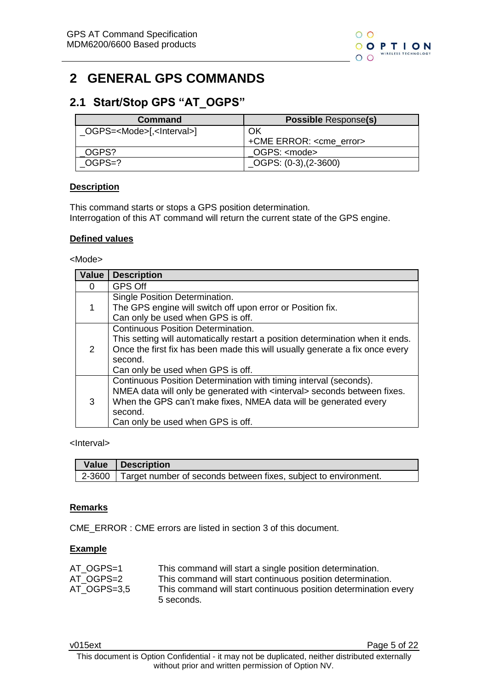# <span id="page-4-0"></span>**2 GENERAL GPS COMMANDS**

### <span id="page-4-1"></span>**2.1 Start/Stop GPS "AT\_OGPS"**

| Command                                     | <b>Possible Response(s)</b>      |
|---------------------------------------------|----------------------------------|
| OGPS= <mode>[,<lnterval>]</lnterval></mode> | OK                               |
|                                             | +CME ERROR: <cme error=""></cme> |
| OGPS?                                       | OGPS: <mode></mode>              |
| OGPS=?                                      | $\_\text{OGPS: (0-3), (2-3600)}$ |

#### **Description**

This command starts or stops a GPS position determination. Interrogation of this AT command will return the current state of the GPS engine.

#### **Defined values**

#### <Mode>

| Value         | <b>Description</b>                                                                                                                                                                                                                                                             |
|---------------|--------------------------------------------------------------------------------------------------------------------------------------------------------------------------------------------------------------------------------------------------------------------------------|
| 0             | <b>GPS Off</b>                                                                                                                                                                                                                                                                 |
|               | Single Position Determination.<br>The GPS engine will switch off upon error or Position fix.<br>Can only be used when GPS is off.                                                                                                                                              |
| $\mathcal{P}$ | <b>Continuous Position Determination.</b><br>This setting will automatically restart a position determination when it ends.<br>Once the first fix has been made this will usually generate a fix once every<br>second.<br>Can only be used when GPS is off.                    |
| 3             | Continuous Position Determination with timing interval (seconds).<br>NMEA data will only be generated with <interval> seconds between fixes.<br/>When the GPS can't make fixes, NMEA data will be generated every<br/>second.<br/>Can only be used when GPS is off.</interval> |

<Interval>

| Value Description                                                      |
|------------------------------------------------------------------------|
| 2-3600 Target number of seconds between fixes, subject to environment. |

#### **Remarks**

CME\_ERROR : CME errors are listed in section 3 of this document.

#### **Example**

| AT OGPS=1   | This command will start a single position determination.        |
|-------------|-----------------------------------------------------------------|
| AT OGPS=2   | This command will start continuous position determination.      |
| AT OGPS=3.5 | This command will start continuous position determination every |
|             | 5 seconds.                                                      |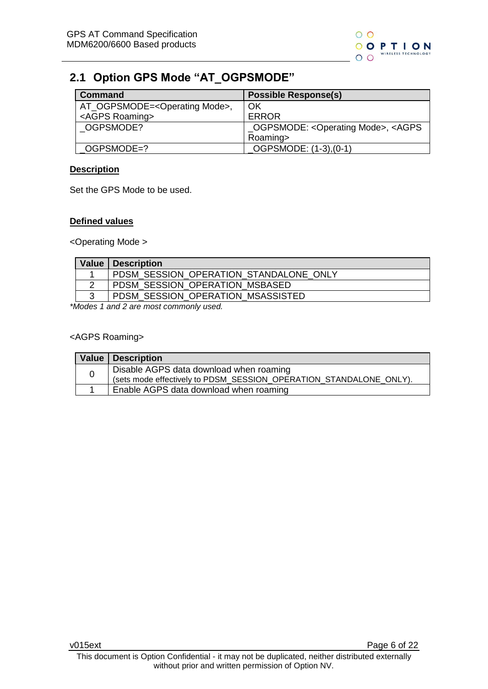

### <span id="page-5-0"></span>**2.1 Option GPS Mode "AT\_OGPSMODE"**

| <b>Command</b>                                | <b>Possible Response(s)</b>                                       |
|-----------------------------------------------|-------------------------------------------------------------------|
| AT_OGPSMODE= <operating mode="">,</operating> | OK                                                                |
| <agps roaming=""></agps>                      | <b>ERROR</b>                                                      |
| OGPSMODE?                                     | _OGPSMODE: <operating mode="">, <agps< td=""></agps<></operating> |
|                                               | Roaming>                                                          |
| OGPSMODE=?                                    | OGPSMODE: (1-3), (0-1)                                            |

#### **Description**

Set the GPS Mode to be used.

#### **Defined values**

<Operating Mode >

|   | Value   Description                    |
|---|----------------------------------------|
|   | PDSM SESSION OPERATION STANDALONE ONLY |
|   | PDSM SESSION OPERATION MSBASED         |
| 2 | PDSM SESSION OPERATION MSASSISTED      |

*\*Modes 1 and 2 are most commonly used.*

#### <AGPS Roaming>

| Value   Description                                                |
|--------------------------------------------------------------------|
| Disable AGPS data download when roaming                            |
| (sets mode effectively to PDSM_SESSION_OPERATION_STANDALONE_ONLY). |
| Enable AGPS data download when roaming                             |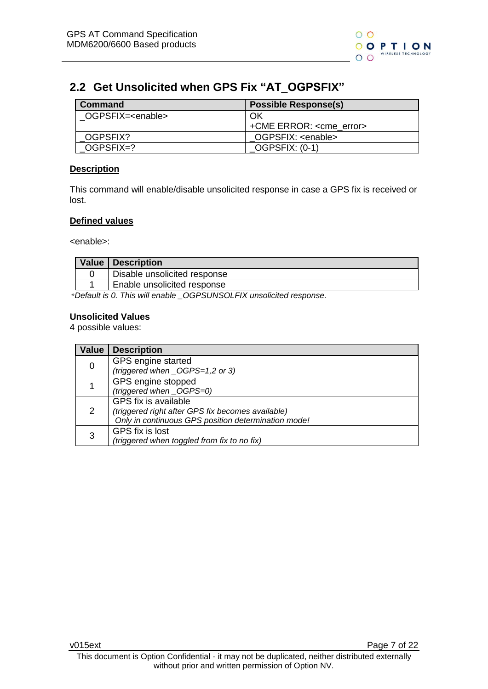### <span id="page-6-0"></span>**2.2 Get Unsolicited when GPS Fix "AT\_OGPSFIX"**

| Command                    | <b>Possible Response(s)</b>      |
|----------------------------|----------------------------------|
| OGPSFIX= <enable></enable> | OK                               |
|                            | +CME ERROR: <cme error=""></cme> |
| OGPSFIX?                   | OGPSFIX: <enable></enable>       |
| OGPSFIX=?                  | OGPSFIX: (0-1)                   |

#### **Description**

This command will enable/disable unsolicited response in case a GPS fix is received or lost.

#### **Defined values**

<enable>:

| <b>Value Description</b>     |
|------------------------------|
| Disable unsolicited response |
| Enable unsolicited response  |

*\*Default is 0. This will enable \_OGPSUNSOLFIX unsolicited response.*

#### **Unsolicited Values**

4 possible values:

| <b>Value</b> | <b>Description</b>                                                                                                               |
|--------------|----------------------------------------------------------------------------------------------------------------------------------|
| 0            | GPS engine started<br>(triggered when _OGPS=1,2 or 3)                                                                            |
|              | GPS engine stopped<br>(triggered when _OGPS=0)                                                                                   |
| 2            | GPS fix is available<br>(triggered right after GPS fix becomes available)<br>Only in continuous GPS position determination mode! |
| 3            | GPS fix is lost<br>(triggered when toggled from fix to no fix)                                                                   |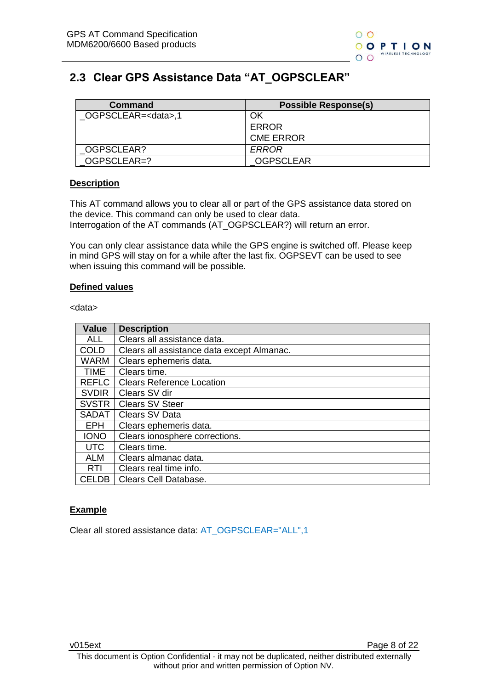## <span id="page-7-0"></span>**2.3 Clear GPS Assistance Data "AT\_OGPSCLEAR"**

| Command                    | <b>Possible Response(s)</b> |
|----------------------------|-----------------------------|
| OGPSCLEAR= <data>,1</data> | ΟK                          |
|                            | <b>ERROR</b>                |
|                            | <b>CME ERROR</b>            |
| OGPSCLEAR?                 | ERROR                       |
| OGPSCLEAR=?                | <b>OGPSCLEAR</b>            |

#### **Description**

This AT command allows you to clear all or part of the GPS assistance data stored on the device. This command can only be used to clear data. Interrogation of the AT commands (AT\_OGPSCLEAR?) will return an error.

You can only clear assistance data while the GPS engine is switched off. Please keep in mind GPS will stay on for a while after the last fix. OGPSEVT can be used to see when issuing this command will be possible.

#### **Defined values**

<data>

| <b>Value</b> | <b>Description</b>                         |
|--------------|--------------------------------------------|
| <b>ALL</b>   | Clears all assistance data.                |
| <b>COLD</b>  | Clears all assistance data except Almanac. |
| <b>WARM</b>  | Clears ephemeris data.                     |
| <b>TIME</b>  | Clears time.                               |
| <b>REFLC</b> | <b>Clears Reference Location</b>           |
| <b>SVDIR</b> | Clears SV dir                              |
| <b>SVSTR</b> | <b>Clears SV Steer</b>                     |
| <b>SADAT</b> | Clears SV Data                             |
| <b>EPH</b>   | Clears ephemeris data.                     |
| <b>IONO</b>  | Clears ionosphere corrections.             |
| <b>UTC</b>   | Clears time.                               |
| <b>ALM</b>   | Clears almanac data.                       |
| <b>RTI</b>   | Clears real time info.                     |
| <b>CELDB</b> | Clears Cell Database.                      |

#### **Example**

Clear all stored assistance data: AT\_OGPSCLEAR="ALL",1

v015ext Page 8 of 22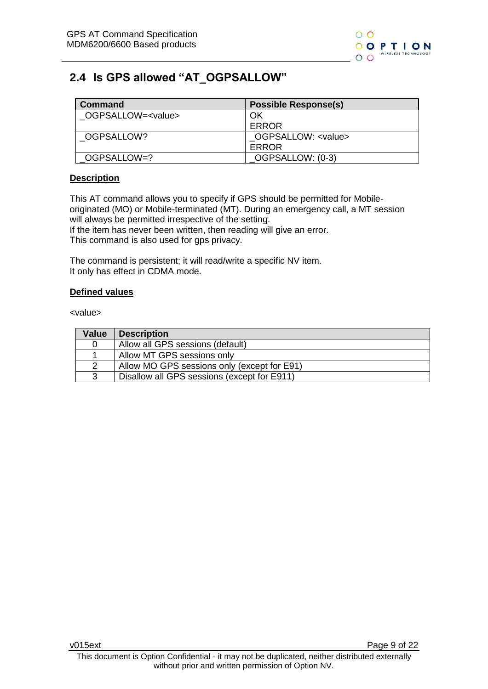

### <span id="page-8-0"></span>**2.4 Is GPS allowed "AT\_OGPSALLOW"**

| Command                    | <b>Possible Response(s)</b> |
|----------------------------|-----------------------------|
| OGPSALLOW= <value></value> | OK                          |
|                            | ERROR                       |
| OGPSALLOW?                 | OGPSALLOW: <value></value>  |
|                            | ERROR                       |
| OGPSALLOW=?                | OGPSALLOW: (0-3)            |

#### **Description**

This AT command allows you to specify if GPS should be permitted for Mobileoriginated (MO) or Mobile-terminated (MT). During an emergency call, a MT session will always be permitted irrespective of the setting.

If the item has never been written, then reading will give an error. This command is also used for gps privacy.

The command is persistent; it will read/write a specific NV item. It only has effect in CDMA mode.

#### **Defined values**

<value>

| Value         | <b>Description</b>                          |
|---------------|---------------------------------------------|
| 0             | Allow all GPS sessions (default)            |
|               | Allow MT GPS sessions only                  |
| $\mathcal{P}$ | Allow MO GPS sessions only (except for E91) |
| 3             | Disallow all GPS sessions (except for E911) |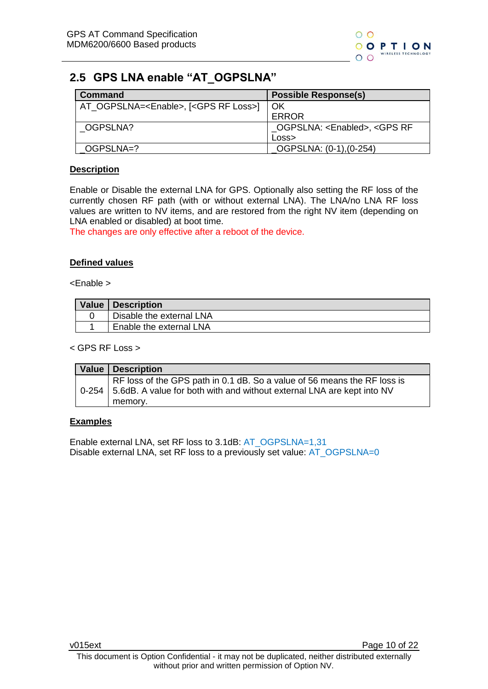

### <span id="page-9-0"></span>**2.5 GPS LNA enable "AT\_OGPSLNA"**

| <b>Command</b>                                             | <b>Possible Response(s)</b>                             |
|------------------------------------------------------------|---------------------------------------------------------|
| AT_OGPSLNA= <enable>, [<gps loss="" rf="">]</gps></enable> | $\overline{\phantom{a}}$ OK                             |
|                                                            | <b>ERROR</b>                                            |
| OGPSLNA?                                                   | _OGPSLNA: <enabled>, <gps rf<="" td=""></gps></enabled> |
|                                                            | Loss                                                    |
| OGPSLNA=?                                                  | _OGPSLNA: (0-1),(0-254)                                 |

#### **Description**

Enable or Disable the external LNA for GPS. Optionally also setting the RF loss of the currently chosen RF path (with or without external LNA). The LNA/no LNA RF loss values are written to NV items, and are restored from the right NV item (depending on LNA enabled or disabled) at boot time.

The changes are only effective after a reboot of the device.

#### **Defined values**

<Enable >

| Value   Description      |
|--------------------------|
| Disable the external LNA |
| Enable the external LNA  |

< GPS RF Loss >

| <b>Value   Description</b>                                                                                                                               |
|----------------------------------------------------------------------------------------------------------------------------------------------------------|
| RF loss of the GPS path in 0.1 dB. So a value of 56 means the RF loss is<br>0-254 5.6dB. A value for both with and without external LNA are kept into NV |
| memory.                                                                                                                                                  |

#### **Examples**

Enable external LNA, set RF loss to 3.1dB: AT\_OGPSLNA=1,31 Disable external LNA, set RF loss to a previously set value: AT\_OGPSLNA=0

v015ext Page 10 of 22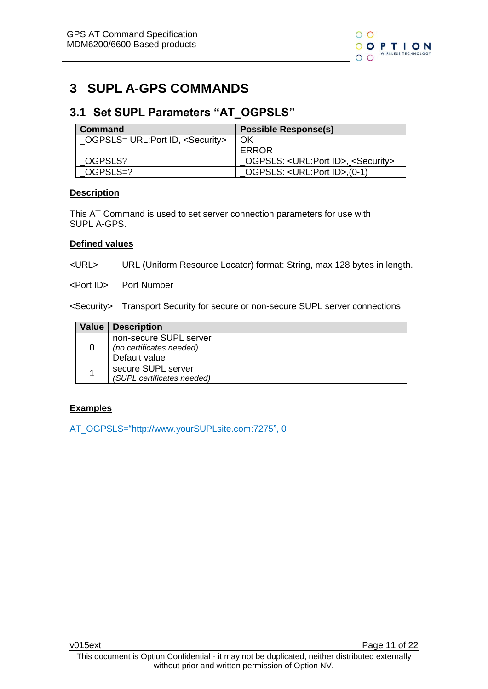# <span id="page-10-0"></span>**3 SUPL A-GPS COMMANDS**

### <span id="page-10-1"></span>**3.1 Set SUPL Parameters "AT\_OGPSLS"**

| <b>Command</b>                              | <b>Possible Response(s)</b>                                 |
|---------------------------------------------|-------------------------------------------------------------|
| _OGPSLS= URL:Port ID, <security></security> | OK                                                          |
|                                             | ERROR                                                       |
| OGPSLS?                                     | _OGPSLS: <url:port id="">, <security></security></url:port> |
| OGPSLS=?                                    | OGPSLS: <url:port id="">,(0-1)</url:port>                   |

#### **Description**

This AT Command is used to set server connection parameters for use with SUPL A-GPS.

#### **Defined values**

<URL> URL (Uniform Resource Locator) format: String, max 128 bytes in length.

<Port ID> Port Number

<Security> Transport Security for secure or non-secure SUPL server connections

| Value | <b>Description</b>                                 |
|-------|----------------------------------------------------|
| 0     | non-secure SUPL server<br>(no certificates needed) |
|       | Default value                                      |
|       | secure SUPL server                                 |
|       | (SUPL certificates needed)                         |

#### **Examples**

AT\_OGPSLS=["http://www.yourSUPLsite.com:7275"](http://www.yoursuplsite.com:7275/), 0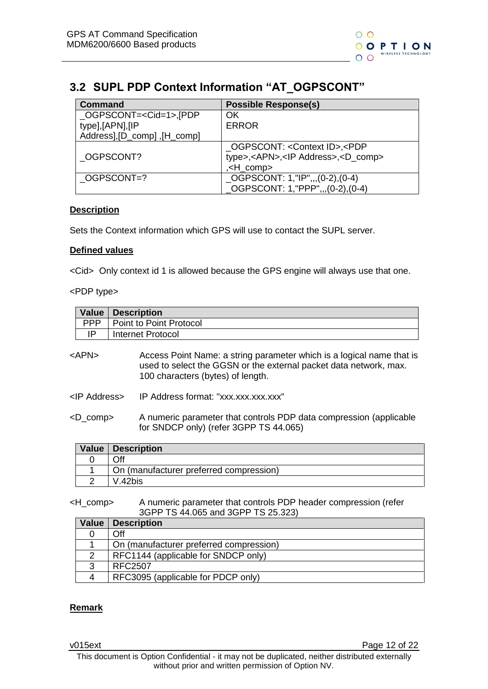# <span id="page-11-0"></span>**3.2 SUPL PDP Context Information "AT\_OGPSCONT"**

| <b>Command</b>                       | <b>Possible Response(s)</b>                               |
|--------------------------------------|-----------------------------------------------------------|
| $\_\$ OGPSCONT= <cid=1>,[PDP</cid=1> | OK                                                        |
| type],[APN],[IP                      | <b>ERROR</b>                                              |
| Address], [D_comp] , [H_comp]        |                                                           |
|                                      | OGPSCONT: <context id="">,<pdp< td=""></pdp<></context>   |
| OGPSCONT?                            | type>, <apn>,<ip address="">,<d_comp></d_comp></ip></apn> |
|                                      | <h_comp>,</h_comp>                                        |
| OGPSCONT=?                           | $LOGPSCONT: 1, "IP", (0-2), (0-4)$                        |
|                                      | _OGPSCONT: 1,"PPP",,,(0-2),(0-4)                          |

#### **Description**

Sets the Context information which GPS will use to contact the SUPL server.

#### **Defined values**

<Cid> Only context id 1 is allowed because the GPS engine will always use that one.

#### <PDP type>

|                      | <b>Value</b> | <b>Description</b>                                                                                                                                                              |  |  |
|----------------------|--------------|---------------------------------------------------------------------------------------------------------------------------------------------------------------------------------|--|--|
|                      | <b>PPP</b>   | Point to Point Protocol                                                                                                                                                         |  |  |
|                      | IP           | Internet Protocol                                                                                                                                                               |  |  |
|                      | $<$ APN $>$  | Access Point Name: a string parameter which is a logical name that is<br>used to select the GGSN or the external packet data network, max.<br>100 characters (bytes) of length. |  |  |
| <ip address=""></ip> |              | IP Address format: "xxx.xxx.xxx.xxx"                                                                                                                                            |  |  |
| $<$ D_comp $>$       |              | A numeric parameter that controls PDP data compression (applicable<br>for SNDCP only) (refer 3GPP TS 44.065)                                                                    |  |  |
|                      | <b>Value</b> | <b>Description</b>                                                                                                                                                              |  |  |

| Value   Description                     |
|-----------------------------------------|
| Off                                     |
| On (manufacturer preferred compression) |
| V.42bis                                 |

<H\_comp> A numeric parameter that controls PDP header compression (refer 3GPP TS 44.065 and 3GPP TS 25.323)

| <b>Value</b> | <b>Description</b>                      |
|--------------|-----------------------------------------|
|              | Off                                     |
|              | On (manufacturer preferred compression) |
|              | RFC1144 (applicable for SNDCP only)     |
| ર            | RFC2507                                 |
|              | RFC3095 (applicable for PDCP only)      |

#### **Remark**

v015ext Page 12 of 22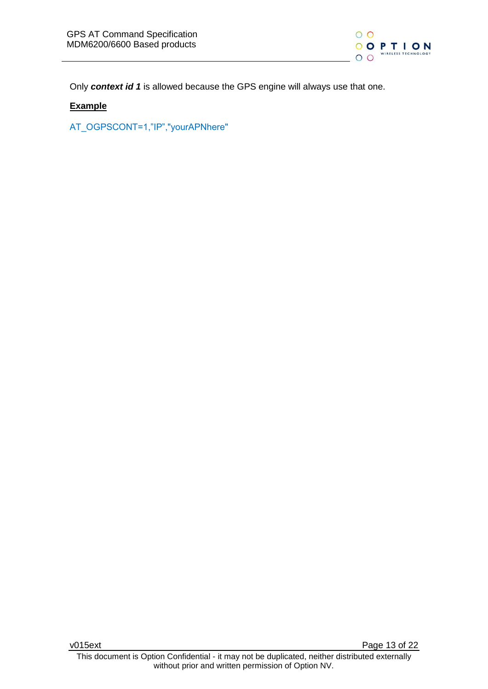

Only *context id 1* is allowed because the GPS engine will always use that one.

#### **Example**

AT\_OGPSCONT=1,"IP","yourAPNhere"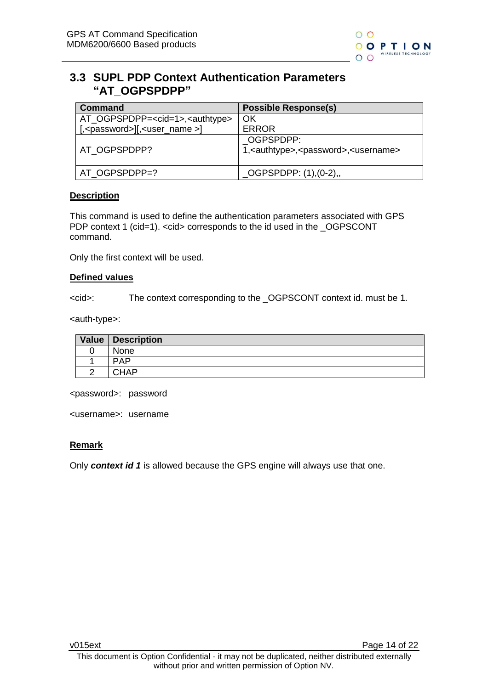

#### <span id="page-13-0"></span>**3.3 SUPL PDP Context Authentication Parameters "AT\_OGPSPDPP"**

| Command                                            | <b>Possible Response(s)</b>                                                       |
|----------------------------------------------------|-----------------------------------------------------------------------------------|
| AT_OGPSPDPP= <cid=1>,<authtype></authtype></cid=1> | ΟK                                                                                |
| $[-\text{casesword}][\text{const_name}]$           | <b>ERROR</b>                                                                      |
| AT OGPSPDPP?                                       | OGPSPDPP:<br>1, <authtype>,<password>,<username></username></password></authtype> |
| AT OGPSPDPP=?                                      | $\_\text{OGPSPDPP: } (1), (0-2),$                                                 |

#### **Description**

This command is used to define the authentication parameters associated with GPS PDP context 1 (cid=1). <cid> corresponds to the id used in the \_OGPSCONT command.

Only the first context will be used.

#### **Defined values**

<cid>: The context corresponding to the \_OGPSCONT context id. must be 1.

<auth-type>:

| Value   Description |
|---------------------|
| None                |
| <b>PAP</b>          |
| CHAP                |

<password>: password

<username>: username

#### **Remark**

Only *context id 1* is allowed because the GPS engine will always use that one.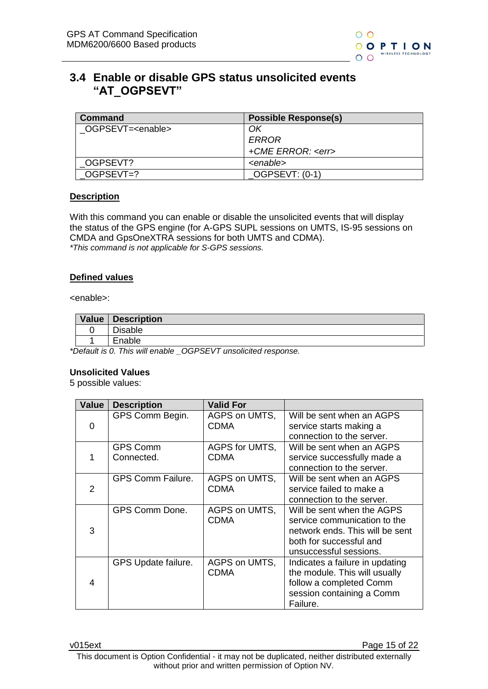

### <span id="page-14-0"></span>**3.4 Enable or disable GPS status unsolicited events "AT\_OGPSEVT"**

| Command                    | <b>Possible Response(s)</b> |
|----------------------------|-----------------------------|
| OGPSEVT= <enable></enable> | ΟK                          |
|                            | ERROR                       |
|                            | +CME ERROR: <err></err>     |
| OGPSEVT?                   | <enable></enable>           |
| OGPSEVT=?                  | OGPSEVT: (0-1)              |

#### **Description**

With this command you can enable or disable the unsolicited events that will display the status of the GPS engine (for A-GPS SUPL sessions on UMTS, IS-95 sessions on CMDA and GpsOneXTRA sessions for both UMTS and CDMA). *\*This command is not applicable for S-GPS sessions.*

#### **Defined values**

<enable>:

| Value | Description    |
|-------|----------------|
|       | <b>Disable</b> |
|       | Enable         |

*\*Default is 0. This will enable \_OGPSEVT unsolicited response.*

#### **Unsolicited Values**

5 possible values:

| Value         | <b>Description</b>            | <b>Valid For</b>             |                                                                                                                                                    |
|---------------|-------------------------------|------------------------------|----------------------------------------------------------------------------------------------------------------------------------------------------|
| 0             | GPS Comm Begin.               | AGPS on UMTS,<br><b>CDMA</b> | Will be sent when an AGPS<br>service starts making a<br>connection to the server.                                                                  |
|               | <b>GPS Comm</b><br>Connected. | AGPS for UMTS,<br>CDMA       | Will be sent when an AGPS<br>service successfully made a<br>connection to the server.                                                              |
| $\mathcal{P}$ | <b>GPS Comm Failure.</b>      | AGPS on UMTS,<br>CDMA        | Will be sent when an AGPS<br>service failed to make a<br>connection to the server.                                                                 |
| 3             | GPS Comm Done.                | AGPS on UMTS,<br><b>CDMA</b> | Will be sent when the AGPS<br>service communication to the<br>network ends. This will be sent<br>both for successful and<br>unsuccessful sessions. |
| 4             | GPS Update failure.           | AGPS on UMTS,<br>CDMA        | Indicates a failure in updating<br>the module. This will usually<br>follow a completed Comm<br>session containing a Comm<br>Failure.               |

v015ext v015ext and v015ext v015ext and v015ext and v015ext and v015ext and v015ext and v015ext and v015ext and v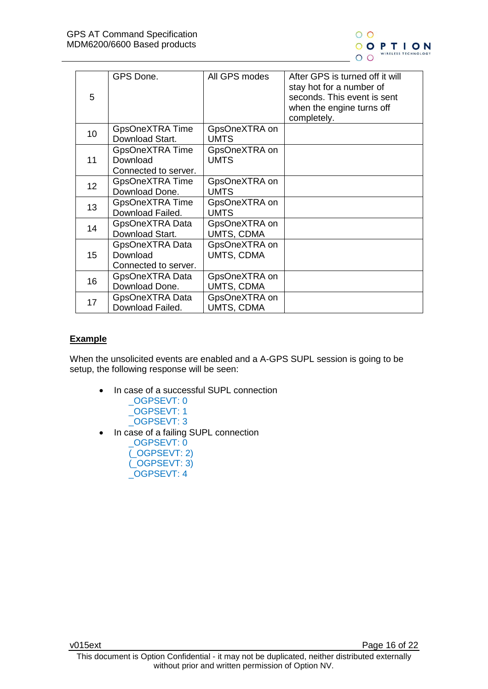

|                 | GPS Done.              | All GPS modes | After GPS is turned off it will<br>stay hot for a number of |
|-----------------|------------------------|---------------|-------------------------------------------------------------|
| 5               |                        |               | seconds. This event is sent                                 |
|                 |                        |               | when the engine turns off                                   |
|                 |                        |               | completely.                                                 |
| 10              | GpsOneXTRA Time        | GpsOneXTRA on |                                                             |
|                 | Download Start.        | <b>UMTS</b>   |                                                             |
|                 | <b>GpsOneXTRA Time</b> | GpsOneXTRA on |                                                             |
| 11              | Download               | <b>UMTS</b>   |                                                             |
|                 | Connected to server.   |               |                                                             |
| 12 <sub>2</sub> | GpsOneXTRA Time        | GpsOneXTRA on |                                                             |
|                 | Download Done.         | <b>UMTS</b>   |                                                             |
| 13              | <b>GpsOneXTRA Time</b> | GpsOneXTRA on |                                                             |
|                 | Download Failed.       | <b>UMTS</b>   |                                                             |
| 14              | GpsOneXTRA Data        | GpsOneXTRA on |                                                             |
|                 | Download Start.        | UMTS, CDMA    |                                                             |
|                 | GpsOneXTRA Data        | GpsOneXTRA on |                                                             |
| 15              | Download               | UMTS, CDMA    |                                                             |
|                 | Connected to server.   |               |                                                             |
| 16              | GpsOneXTRA Data        | GpsOneXTRA on |                                                             |
|                 | Download Done.         | UMTS, CDMA    |                                                             |
| 17              | GpsOneXTRA Data        | GpsOneXTRA on |                                                             |
|                 | Download Failed.       | UMTS, CDMA    |                                                             |

#### **Example**

When the unsolicited events are enabled and a A-GPS SUPL session is going to be setup, the following response will be seen:

- In case of a successful SUPL connection \_OGPSEVT: 0
	- \_OGPSEVT: 1 \_OGPSEVT: 3
- In case of a failing SUPL connection

\_OGPSEVT: 0 (\_OGPSEVT: 2) (\_OGPSEVT: 3) \_OGPSEVT: 4

v015ext Page 16 of 22 This document is Option Confidential - it may not be duplicated, neither distributed externally without prior and written permission of Option NV.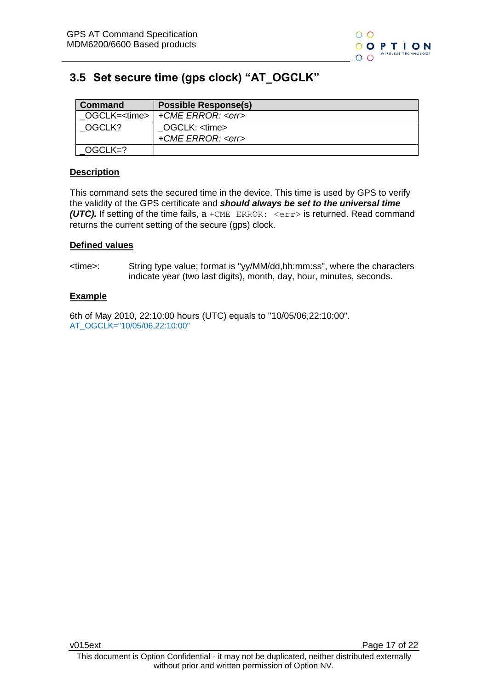

### <span id="page-16-0"></span>**3.5 Set secure time (gps clock) "AT\_OGCLK"**

| <b>Command</b> | <b>Possible Response(s)</b>                    |
|----------------|------------------------------------------------|
|                | OGCLK= <time>   +CME ERROR: <err></err></time> |
| OGCLK?         | OGCLK: <time></time>                           |
|                | +CME ERROR: <err></err>                        |
| OGCLK=?        |                                                |

#### **Description**

This command sets the secured time in the device. This time is used by GPS to verify the validity of the GPS certificate and *should always be set to the universal time (UTC).* If setting of the time fails, a +CME ERROR:  $\langle err \rangle$  is returned. Read command returns the current setting of the secure (gps) clock.

#### **Defined values**

<time>: String type value; format is "yy/MM/dd,hh:mm:ss", where the characters indicate year (two last digits), month, day, hour, minutes, seconds.

#### **Example**

6th of May 2010, 22:10:00 hours (UTC) equals to "10/05/06,22:10:00". AT\_OGCLK="10/05/06,22:10:00"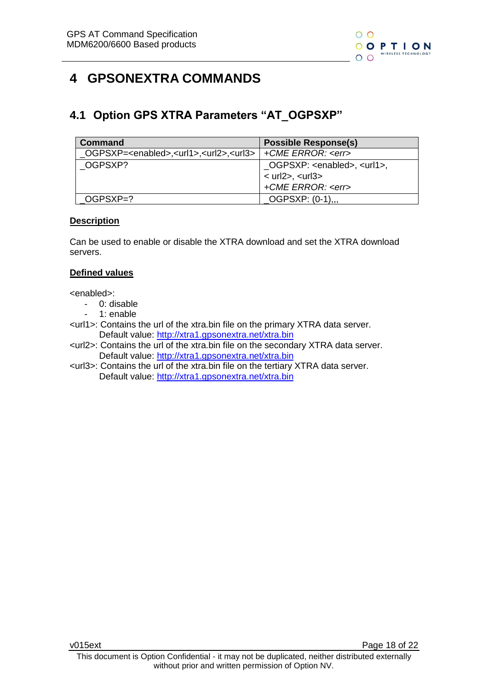

# <span id="page-17-0"></span>**4 GPSONEXTRA COMMANDS**

### <span id="page-17-1"></span>**4.1 Option GPS XTRA Parameters "AT\_OGPSXP"**

| Command                                                                                          | <b>Possible Response(s)</b>                 |
|--------------------------------------------------------------------------------------------------|---------------------------------------------|
| _OGPSXP= <enabled>,<url1>,<url2>,<url3>   +CME ERROR: <err></err></url3></url2></url1></enabled> |                                             |
| OGPSXP?                                                                                          | OGPSXP: <enabled>, <url1>,</url1></enabled> |
|                                                                                                  | $<$ url2>, $<$ url3>                        |
|                                                                                                  | +CME ERROR: <err></err>                     |
| OGPSXP=?                                                                                         | OGPSXP: (0-1),,,                            |

#### **Description**

Can be used to enable or disable the XTRA download and set the XTRA download servers.

#### **Defined values**

<enabled>:

- 0: disable
- 1: enable
- <url1>: Contains the url of the xtra.bin file on the primary XTRA data server. Default value:<http://xtra1.gpsonextra.net/xtra.bin>
- <url2>: Contains the url of the xtra.bin file on the secondary XTRA data server. Default value:<http://xtra1.gpsonextra.net/xtra.bin>
- <url3>: Contains the url of the xtra.bin file on the tertiary XTRA data server. Default value:<http://xtra1.gpsonextra.net/xtra.bin>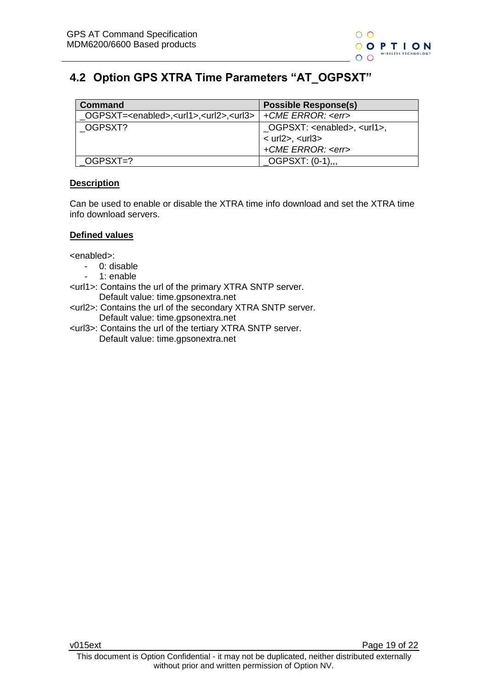## <span id="page-18-0"></span>**4.2 Option GPS XTRA Time Parameters "AT\_OGPSXT"**

| Command                                                                        | <b>Possible Response(s)</b>                          |
|--------------------------------------------------------------------------------|------------------------------------------------------|
| $\angle$ OGPSXT= <enabled>,<url1>,<url2>,<url3></url3></url2></url1></enabled> | +CME ERROR: <err></err>                              |
| OGPSXT?                                                                        | $\angle$ OGPSXT: <enabled>, <url1>,</url1></enabled> |
|                                                                                | $<$ url2>, $<$ url3>                                 |
|                                                                                | +CME ERROR: <err></err>                              |
| OGPSXT=?                                                                       | OGPSXT: (0-1),,,                                     |

#### **Description**

Can be used to enable or disable the XTRA time info download and set the XTRA time info download servers.

#### **Defined values**

<enabled>:

- 0: disable
- 1: enable
- <url1>: Contains the url of the primary XTRA SNTP server. Default value: time.gpsonextra.net
- <url2>: Contains the url of the secondary XTRA SNTP server. Default value: time.gpsonextra.net
- <url3>: Contains the url of the tertiary XTRA SNTP server. Default value: time.gpsonextra.net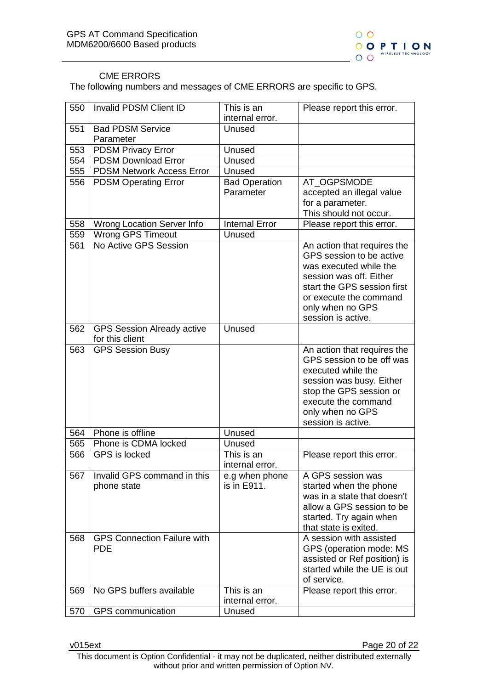

#### CME ERRORS

The following numbers and messages of CME ERRORS are specific to GPS.

| 550 | Invalid PDSM Client ID             | This is an            | Please report this error.              |
|-----|------------------------------------|-----------------------|----------------------------------------|
|     |                                    | internal error.       |                                        |
| 551 | <b>Bad PDSM Service</b>            | Unused                |                                        |
|     | Parameter                          |                       |                                        |
| 553 | <b>PDSM Privacy Error</b>          | Unused                |                                        |
| 554 | <b>PDSM Download Error</b>         | Unused                |                                        |
| 555 | <b>PDSM Network Access Error</b>   | Unused                |                                        |
| 556 | <b>PDSM Operating Error</b>        | <b>Bad Operation</b>  | AT_OGPSMODE                            |
|     |                                    | Parameter             | accepted an illegal value              |
|     |                                    |                       | for a parameter.                       |
|     |                                    |                       | This should not occur.                 |
| 558 | Wrong Location Server Info         | <b>Internal Error</b> | Please report this error.              |
| 559 | Wrong GPS Timeout                  | Unused                |                                        |
| 561 | No Active GPS Session              |                       | An action that requires the            |
|     |                                    |                       | GPS session to be active               |
|     |                                    |                       | was executed while the                 |
|     |                                    |                       | session was off. Either                |
|     |                                    |                       | start the GPS session first            |
|     |                                    |                       | or execute the command                 |
|     |                                    |                       | only when no GPS<br>session is active. |
| 562 | <b>GPS Session Already active</b>  | Unused                |                                        |
|     | for this client                    |                       |                                        |
| 563 | <b>GPS Session Busy</b>            |                       | An action that requires the            |
|     |                                    |                       | GPS session to be off was              |
|     |                                    |                       | executed while the                     |
|     |                                    |                       | session was busy. Either               |
|     |                                    |                       | stop the GPS session or                |
|     |                                    |                       | execute the command                    |
|     |                                    |                       | only when no GPS                       |
|     |                                    |                       | session is active.                     |
| 564 | Phone is offline                   | Unused                |                                        |
| 565 | Phone is CDMA locked               | Unused                |                                        |
| 566 | GPS is locked                      | This is an            | Please report this error.              |
|     |                                    | internal error.       |                                        |
| 567 | Invalid GPS command in this        | e.g when phone        | A GPS session was                      |
|     | phone state                        | is in E911.           | started when the phone                 |
|     |                                    |                       | was in a state that doesn't            |
|     |                                    |                       | allow a GPS session to be              |
|     |                                    |                       | started. Try again when                |
|     |                                    |                       | that state is exited.                  |
| 568 | <b>GPS Connection Failure with</b> |                       | A session with assisted                |
|     | <b>PDE</b>                         |                       | GPS (operation mode: MS                |
|     |                                    |                       | assisted or Ref position) is           |
|     |                                    |                       | started while the UE is out            |
| 569 | No GPS buffers available           | This is an            | of service.                            |
|     |                                    | internal error.       | Please report this error.              |
| 570 | GPS communication                  | Unused                |                                        |
|     |                                    |                       |                                        |

v015ext **Page 20 of 22** 

This document is Option Confidential - it may not be duplicated, neither distributed externally without prior and written permission of Option NV.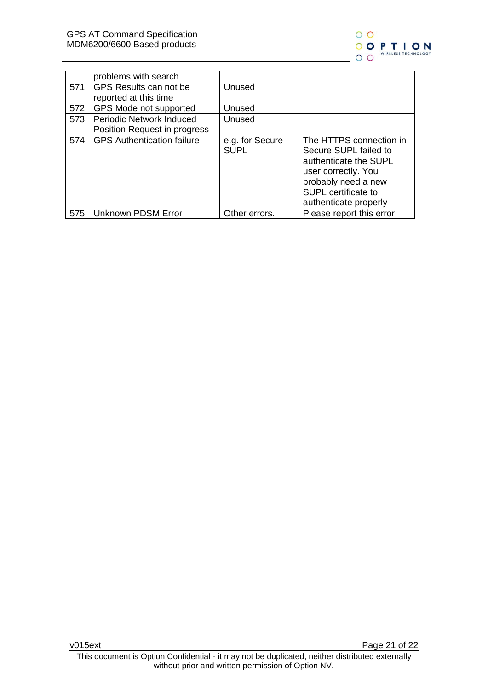

|     | problems with search              |                                |                                                                                                                                                                         |
|-----|-----------------------------------|--------------------------------|-------------------------------------------------------------------------------------------------------------------------------------------------------------------------|
| 571 | GPS Results can not be            | Unused                         |                                                                                                                                                                         |
|     | reported at this time             |                                |                                                                                                                                                                         |
| 572 | GPS Mode not supported            | Unused                         |                                                                                                                                                                         |
| 573 | <b>Periodic Network Induced</b>   | Unused                         |                                                                                                                                                                         |
|     | Position Request in progress      |                                |                                                                                                                                                                         |
| 574 | <b>GPS Authentication failure</b> | e.g. for Secure<br><b>SUPL</b> | The HTTPS connection in<br>Secure SUPL failed to<br>authenticate the SUPL<br>user correctly. You<br>probably need a new<br>SUPL certificate to<br>authenticate properly |
| 575 | Unknown PDSM Error                | Other errors.                  | Please report this error.                                                                                                                                               |